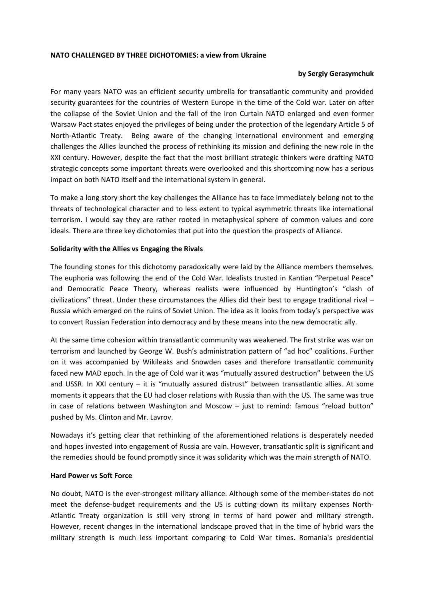### **NATO CHALLENGED BY THREE DICHOTOMIES: a view from Ukraine**

## **by Sergiy Gerasymchuk**

For many years NATO was an efficient security umbrella for transatlantic community and provided security guarantees for the countries of Western Europe in the time of the Cold war. Later on after the collapse of the Soviet Union and the fall of the Iron Curtain NATO enlarged and even former Warsaw Pact states enjoyed the privileges of being under the protection of the legendary Article 5 of North-Atlantic Treaty. Being aware of the changing international environment and emerging challenges the Allies launched the process of rethinking its mission and defining the new role in the XXI century. However, despite the fact that the most brilliant strategic thinkers were drafting NATO strategic concepts some important threats were overlooked and this shortcoming now has a serious impact on both NATO itself and the international system in general.

To make a long story short the key challenges the Alliance has to face immediately belong not to the threats of technological character and to less extent to typical asymmetric threats like international terrorism. I would say they are rather rooted in metaphysical sphere of common values and core ideals. There are three key dichotomies that put into the question the prospects of Alliance.

## **Solidarity with the Allies vs Engaging the Rivals**

The founding stones for this dichotomy paradoxically were laid by the Alliance members themselves. The euphoria was following the end of the Cold War. Idealists trusted in Kantian "Perpetual Peace" and Democratic Peace Theory, whereas realists were influenced by Huntington's "clash of civilizations" threat. Under these circumstances the Allies did their best to engage traditional rival – Russia which emerged on the ruins of Soviet Union. The idea as it looks from today's perspective was to convert Russian Federation into democracy and by these means into the new democratic ally.

At the same time cohesion within transatlantic community was weakened. The first strike was war on terrorism and launched by George W. Bush's administration pattern of "ad hoc" coalitions. Further on it was accompanied by Wikileaks and Snowden cases and therefore transatlantic community faced new MAD epoch. In the age of Cold war it was "mutually assured destruction" between the US and USSR. In XXI century - it is "mutually assured distrust" between transatlantic allies. At some moments it appears that the EU had closer relations with Russia than with the US. The same was true in case of relations between Washington and Moscow – just to remind: famous "reload button" pushed by Ms. Clinton and Mr. Lavrov.

Nowadays it's getting clear that rethinking of the aforementioned relations is desperately needed and hopes invested into engagement of Russia are vain. However, transatlantic split is significant and the remedies should be found promptly since it was solidarity which was the main strength of NATO.

#### **Hard Power vs Soft Force**

No doubt, NATO is the ever-strongest military alliance. Although some of the member-states do not meet the defense-budget requirements and the US is cutting down its military expenses North-Atlantic Treaty organization is still very strong in terms of hard power and military strength. However, recent changes in the international landscape proved that in the time of hybrid wars the military strength is much less important comparing to Cold War times. Romania's presidential